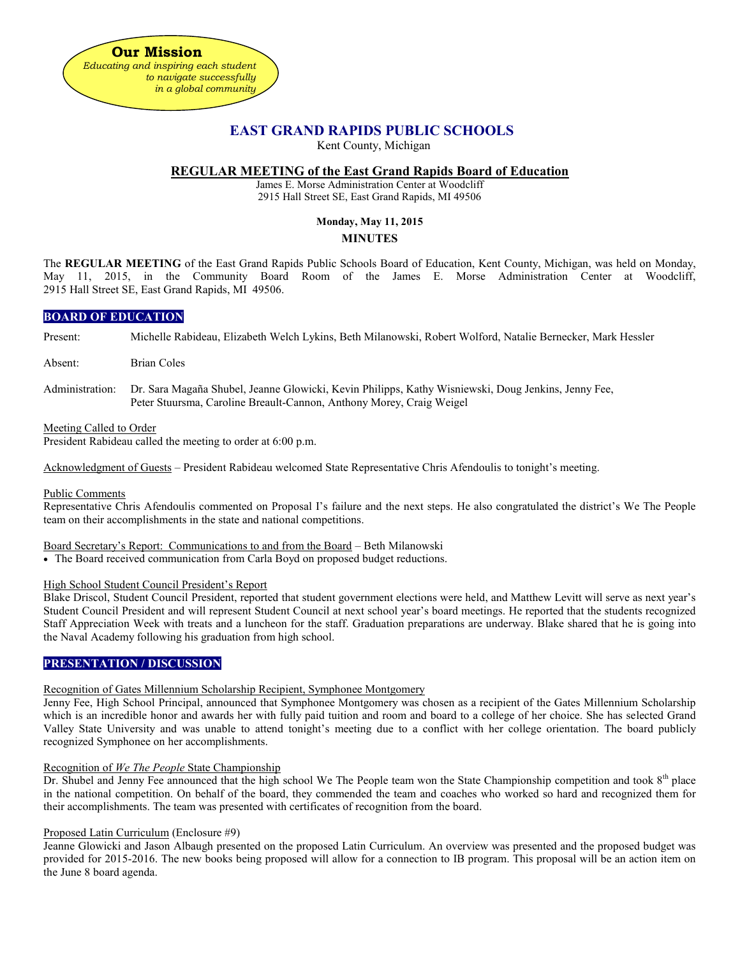

# **EAST GRAND RAPIDS PUBLIC SCHOOLS**

Kent County, Michigan

# **REGULAR MEETING of the East Grand Rapids Board of Education**

James E. Morse Administration Center at Woodcliff 2915 Hall Street SE, East Grand Rapids, MI 49506

# **Monday, May 11, 2015**

# **MINUTES**

The **REGULAR MEETING** of the East Grand Rapids Public Schools Board of Education, Kent County, Michigan, was held on Monday, May 11, 2015, in the Community Board Room of the James E. Morse Administration Center at Woodcliff, 2915 Hall Street SE, East Grand Rapids, MI 49506.

# **BOARD OF EDUCATION**

Present: Michelle Rabideau, Elizabeth Welch Lykins, Beth Milanowski, Robert Wolford, Natalie Bernecker, Mark Hessler

Absent: Brian Coles

Administration: Dr. Sara Magaña Shubel, Jeanne Glowicki, Kevin Philipps, Kathy Wisniewski, Doug Jenkins, Jenny Fee, Peter Stuursma, Caroline Breault-Cannon, Anthony Morey, Craig Weigel

#### Meeting Called to Order

President Rabideau called the meeting to order at 6:00 p.m.

Acknowledgment of Guests – President Rabideau welcomed State Representative Chris Afendoulis to tonight's meeting.

#### Public Comments

Representative Chris Afendoulis commented on Proposal I's failure and the next steps. He also congratulated the district's We The People team on their accomplishments in the state and national competitions.

### Board Secretary's Report: Communications to and from the Board – Beth Milanowski

• The Board received communication from Carla Boyd on proposed budget reductions.

### High School Student Council President's Report

Blake Driscol, Student Council President, reported that student government elections were held, and Matthew Levitt will serve as next year's Student Council President and will represent Student Council at next school year's board meetings. He reported that the students recognized Staff Appreciation Week with treats and a luncheon for the staff. Graduation preparations are underway. Blake shared that he is going into the Naval Academy following his graduation from high school.

# **PRESENTATION / DISCUSSION**

### Recognition of Gates Millennium Scholarship Recipient, Symphonee Montgomery

Jenny Fee, High School Principal, announced that Symphonee Montgomery was chosen as a recipient of the Gates Millennium Scholarship which is an incredible honor and awards her with fully paid tuition and room and board to a college of her choice. She has selected Grand Valley State University and was unable to attend tonight's meeting due to a conflict with her college orientation. The board publicly recognized Symphonee on her accomplishments.

### Recognition of *We The People* State Championship

Dr. Shubel and Jenny Fee announced that the high school We The People team won the State Championship competition and took  $8<sup>th</sup>$  place in the national competition. On behalf of the board, they commended the team and coaches who worked so hard and recognized them for their accomplishments. The team was presented with certificates of recognition from the board.

# Proposed Latin Curriculum (Enclosure #9)

Jeanne Glowicki and Jason Albaugh presented on the proposed Latin Curriculum. An overview was presented and the proposed budget was provided for 2015-2016. The new books being proposed will allow for a connection to IB program. This proposal will be an action item on the June 8 board agenda.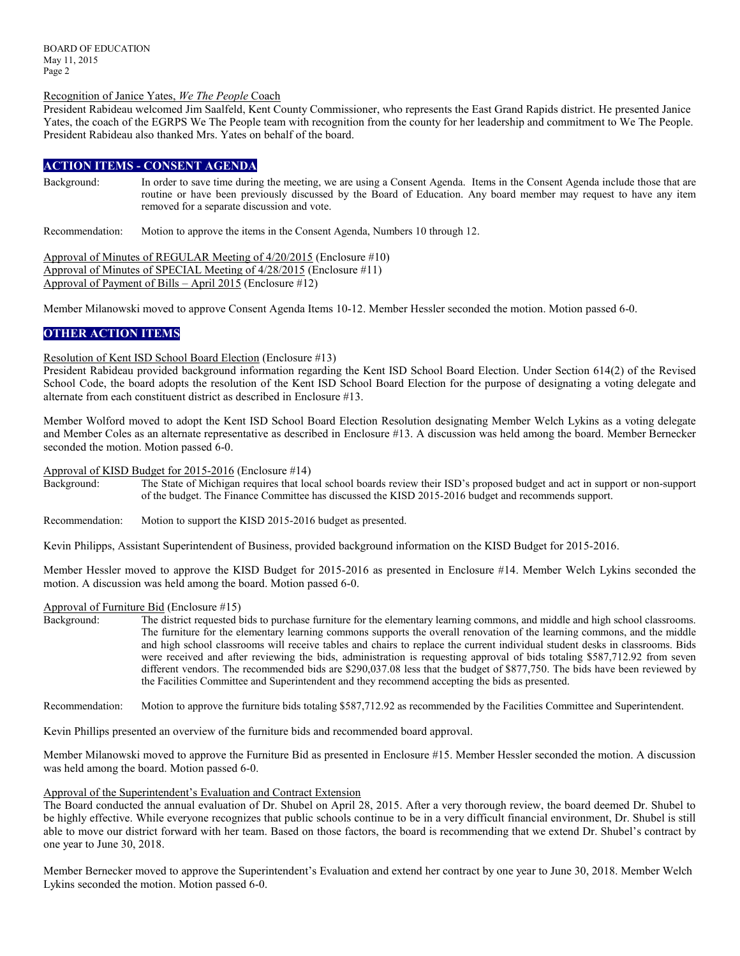### Recognition of Janice Yates, *We The People* Coach

President Rabideau welcomed Jim Saalfeld, Kent County Commissioner, who represents the East Grand Rapids district. He presented Janice Yates, the coach of the EGRPS We The People team with recognition from the county for her leadership and commitment to We The People. President Rabideau also thanked Mrs. Yates on behalf of the board.

# **ACTION ITEMS - CONSENT AGENDA**

Background: In order to save time during the meeting, we are using a Consent Agenda. Items in the Consent Agenda include those that are routine or have been previously discussed by the Board of Education. Any board member may request to have any item removed for a separate discussion and vote.

Recommendation: Motion to approve the items in the Consent Agenda, Numbers 10 through 12.

Approval of Minutes of REGULAR Meeting of 4/20/2015 (Enclosure #10) Approval of Minutes of SPECIAL Meeting of 4/28/2015 (Enclosure #11) Approval of Payment of Bills – April 2015 (Enclosure #12)

Member Milanowski moved to approve Consent Agenda Items 10-12. Member Hessler seconded the motion. Motion passed 6-0.

# **OTHER ACTION ITEMS**

#### Resolution of Kent ISD School Board Election (Enclosure #13)

President Rabideau provided background information regarding the Kent ISD School Board Election. Under Section 614(2) of the Revised School Code, the board adopts the resolution of the Kent ISD School Board Election for the purpose of designating a voting delegate and alternate from each constituent district as described in Enclosure #13.

Member Wolford moved to adopt the Kent ISD School Board Election Resolution designating Member Welch Lykins as a voting delegate and Member Coles as an alternate representative as described in Enclosure #13. A discussion was held among the board. Member Bernecker seconded the motion. Motion passed 6-0.

#### Approval of KISD Budget for 2015-2016 (Enclosure #14)

Background: The State of Michigan requires that local school boards review their ISD's proposed budget and act in support or non-support of the budget. The Finance Committee has discussed the KISD 2015-2016 budget and recommends support.

Recommendation: Motion to support the KISD 2015-2016 budget as presented.

Kevin Philipps, Assistant Superintendent of Business, provided background information on the KISD Budget for 2015-2016.

Member Hessler moved to approve the KISD Budget for 2015-2016 as presented in Enclosure #14. Member Welch Lykins seconded the motion. A discussion was held among the board. Motion passed 6-0.

#### Approval of Furniture Bid (Enclosure #15)

Background: The district requested bids to purchase furniture for the elementary learning commons, and middle and high school classrooms. The furniture for the elementary learning commons supports the overall renovation of the learning commons, and the middle and high school classrooms will receive tables and chairs to replace the current individual student desks in classrooms. Bids were received and after reviewing the bids, administration is requesting approval of bids totaling \$587,712.92 from seven different vendors. The recommended bids are \$290,037.08 less that the budget of \$877,750. The bids have been reviewed by the Facilities Committee and Superintendent and they recommend accepting the bids as presented.

Recommendation: Motion to approve the furniture bids totaling \$587,712.92 as recommended by the Facilities Committee and Superintendent.

Kevin Phillips presented an overview of the furniture bids and recommended board approval.

Member Milanowski moved to approve the Furniture Bid as presented in Enclosure #15. Member Hessler seconded the motion. A discussion was held among the board. Motion passed 6-0.

# Approval of the Superintendent's Evaluation and Contract Extension

The Board conducted the annual evaluation of Dr. Shubel on April 28, 2015. After a very thorough review, the board deemed Dr. Shubel to be highly effective. While everyone recognizes that public schools continue to be in a very difficult financial environment, Dr. Shubel is still able to move our district forward with her team. Based on those factors, the board is recommending that we extend Dr. Shubel's contract by one year to June 30, 2018.

Member Bernecker moved to approve the Superintendent's Evaluation and extend her contract by one year to June 30, 2018. Member Welch Lykins seconded the motion. Motion passed 6-0.